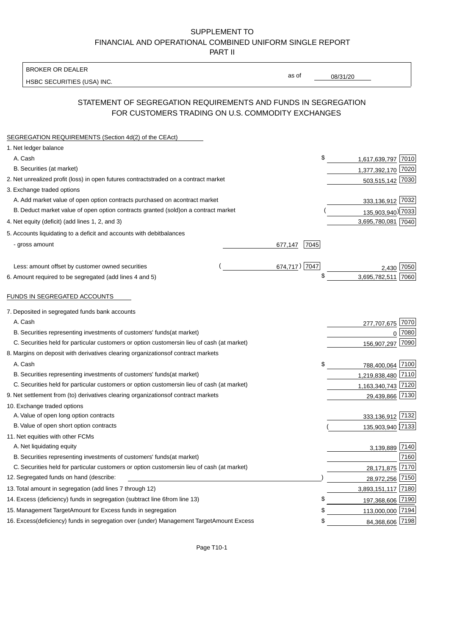BROKER OR DEALER

HSBC SECURITIES (USA) INC.

08/31/20

as of

### STATEMENT OF SEGREGATION REQUIREMENTS AND FUNDS IN SEGREGATION FOR CUSTOMERS TRADING ON U.S. COMMODITY EXCHANGES

| SEGREGATION REQUIREMENTS (Section 4d(2) of the CEAct)                                          |                 |                    |      |
|------------------------------------------------------------------------------------------------|-----------------|--------------------|------|
| 1. Net ledger balance                                                                          |                 |                    |      |
| A. Cash                                                                                        | \$              | 1,617,639,797 7010 |      |
| B. Securities (at market)                                                                      |                 | 1,377,392,170 7020 |      |
| 2. Net unrealized profit (loss) in open futures contracts<br>traded on a contract market       |                 | 503,515,142 7030   |      |
| 3. Exchange traded options                                                                     |                 |                    |      |
| A. Add market value of open option contracts purchased on a<br>contract market                 |                 | 333,136,912 7032   |      |
| B. Deduct market value of open option contracts granted (sold)<br>on a contract market         |                 | 135,903,940) 7033  |      |
| 4. Net equity (deficit) (add lines 1, 2, and 3)                                                |                 | 3,695,780,081 7040 |      |
| 5. Accounts liquidating to a deficit and accounts with debit<br>balances                       |                 |                    |      |
| - gross amount                                                                                 | 7045<br>677,147 |                    |      |
|                                                                                                |                 |                    |      |
| Less: amount offset by customer owned securities                                               | 674,717) 7047   | 2.430              | 7050 |
| 6. Amount required to be segregated (add lines 4 and 5)                                        |                 | 3,695,782,511      | 7060 |
|                                                                                                |                 |                    |      |
| FUNDS IN SEGREGATED ACCOUNTS                                                                   |                 |                    |      |
| 7. Deposited in segregated funds bank accounts                                                 |                 |                    |      |
| A. Cash                                                                                        |                 | 277,707,675        | 7070 |
| B. Securities representing investments of customers' funds<br>(at market)                      |                 | $\Omega$           | 7080 |
| C. Securities held for particular customers or option customers<br>in lieu of cash (at market) |                 | 156,907,297        | 7090 |
| 8. Margins on deposit with derivatives clearing organizations<br>of contract markets           |                 |                    |      |
| A. Cash                                                                                        | \$              | 788,400,064 7100   |      |
| B. Securities representing investments of customers' funds<br>(at market)                      |                 | 1,219,838,480 7110 |      |
| C. Securities held for particular customers or option customers<br>in lieu of cash (at market) |                 | 1,163,340,743 7120 |      |
| 9. Net settlement from (to) derivatives clearing organizations<br>of contract markets          |                 | 29,439,866 7130    |      |
| 10. Exchange traded options                                                                    |                 |                    |      |
| A. Value of open long option contracts                                                         |                 | 333,136,912 7132   |      |
| B. Value of open short option contracts                                                        |                 | 135,903,940 7133   |      |
| 11. Net equities with other FCMs                                                               |                 |                    |      |
| A. Net liquidating equity                                                                      |                 | 3,139,889 7140     |      |
| B. Securities representing investments of customers' funds<br>(at market)                      |                 |                    | 7160 |
| C. Securities held for particular customers or option customers<br>in lieu of cash (at market) |                 | 28,171,875         | 7170 |
| 12. Segregated funds on hand (describe:                                                        |                 | 28,972,256 7150    |      |
| 13. Total amount in segregation (add lines 7 through 12)                                       |                 | 3,893,151,117 7180 |      |
| 14. Excess (deficiency) funds in segregation (subtract line 6 from line 13)                    | \$              | 197,368,606 7190   |      |
| 15. Management Target Amount for Excess funds in segregation                                   | \$              | 113,000,000 7194   |      |
| 16. Excess (deficiency) funds in segregation over (under) Management Target Amount Excess      | \$              | 84,368,606 7198    |      |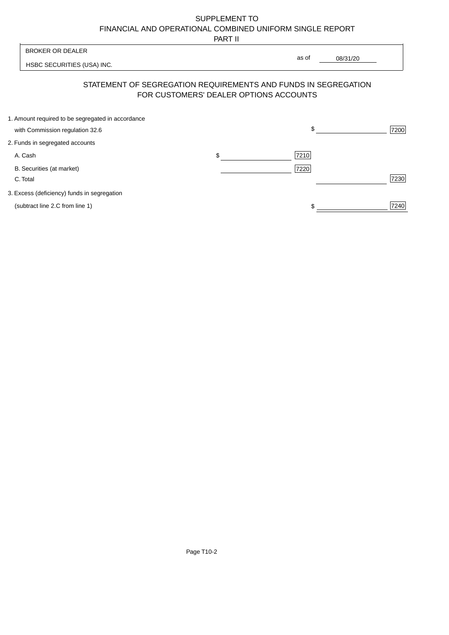PART II

| <b>BROKER OR DEALER</b>                           |                                        | as of                                                          |      |
|---------------------------------------------------|----------------------------------------|----------------------------------------------------------------|------|
| HSBC SECURITIES (USA) INC.                        |                                        | 08/31/20                                                       |      |
|                                                   | FOR CUSTOMERS' DEALER OPTIONS ACCOUNTS | STATEMENT OF SEGREGATION REQUIREMENTS AND FUNDS IN SEGREGATION |      |
| 1. Amount required to be segregated in accordance |                                        |                                                                |      |
| with Commission regulation 32.6                   |                                        | \$                                                             | 7200 |
| 2. Funds in segregated accounts                   |                                        |                                                                |      |
| A. Cash                                           | \$                                     | 7210                                                           |      |
| B. Securities (at market)<br>C. Total             |                                        | 7220                                                           | 7230 |
| 3. Excess (deficiency) funds in segregation       |                                        |                                                                |      |
| (subtract line 2.C from line 1)                   |                                        | \$                                                             | 7240 |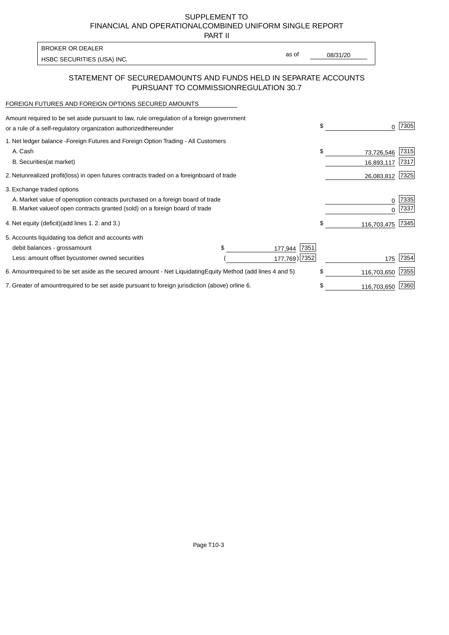PART II

| <b>BROKER OR DEALER</b>    |       |          |
|----------------------------|-------|----------|
|                            | as of | 08/31/20 |
| HSBC SECURITIES (USA) INC. |       |          |

### STATEMENT OF SECURED AMOUNTS AND FUNDS HELD IN SEPARATE ACCOUNTS PURSUANT TO COMMISSION REGULATION 30.7

#### FOREIGN FUTURES AND FOREIGN OPTIONS SECURED AMOUNTS

| Amount required to be set aside pursuant to law, rule or regulation of a foreign government<br>or a rule of a self-regulatory organization authorized<br>thereunder                          | \$<br><sup>0</sup>             | 7305         |
|----------------------------------------------------------------------------------------------------------------------------------------------------------------------------------------------|--------------------------------|--------------|
| 1. Net ledger balance - Foreign Futures and Foreign Option Trading - All Customers<br>A. Cash<br><b>B.</b> Securities<br>(at market)                                                         | \$<br>73,726,546<br>16,893,117 | 7315<br>7317 |
| unrealized profit (loss) in open futures contracts traded on a foreign<br>board of trade<br>2. Net                                                                                           | 26,083,812                     | 7325         |
| 3. Exchange traded options<br>A. Market value of open option contracts purchased on a foreign board of trade<br>B. Market value of open contracts granted (sold) on a foreign board of trade | O<br>O                         | 7335<br>7337 |
| (add lines 1.2. and 3.)<br>4. Net equity (deficit)                                                                                                                                           | \$<br>116,703,475              | 7345         |
| 5. Accounts liquidating to a deficit and accounts with<br>\$<br>7351<br>debit balances - gross<br>amount<br>177,944<br>177,769) 7352<br>Less: amount offset by customer owned securities     | 175                            | 7354         |
| 6. Amount required to be set aside as the secured amount - Net Liquidating<br>Equity Method (add lines 4 and 5)                                                                              | \$<br>116,703,650              | 7355         |
| 7. Greater of amount required to be set aside pursuant to foreign jurisdiction (above) or<br>line 6.                                                                                         | 116,703,650                    | 7360         |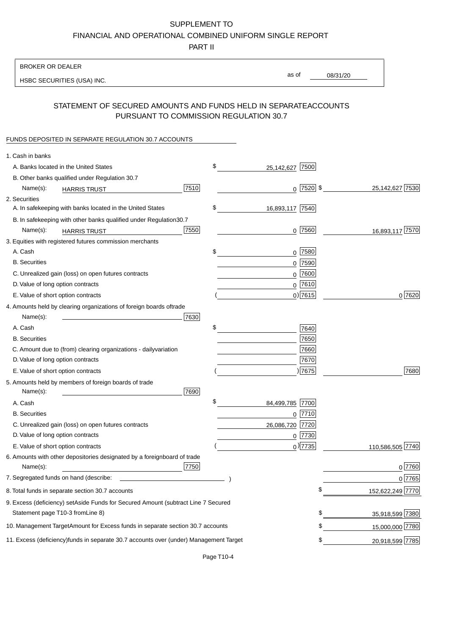PART II

| <b>BROKER OR DEALER</b>                                                                           |                       |                 |                 |                  |
|---------------------------------------------------------------------------------------------------|-----------------------|-----------------|-----------------|------------------|
| HSBC SECURITIES (USA) INC.                                                                        | as of                 |                 | 08/31/20        |                  |
|                                                                                                   |                       |                 |                 |                  |
| STATEMENT OF SECURED AMOUNTS AND FUNDS HELD IN SEPARATE<br>PURSUANT TO COMMISSION REGULATION 30.7 |                       |                 | <b>ACCOUNTS</b> |                  |
| FUNDS DEPOSITED IN SEPARATE REGULATION 30.7 ACCOUNTS                                              |                       |                 |                 |                  |
| 1. Cash in banks                                                                                  |                       |                 |                 |                  |
| A. Banks located in the United States                                                             | \$<br>25,142,627 7500 |                 |                 |                  |
| B. Other banks qualified under Regulation 30.7                                                    |                       |                 |                 |                  |
| 7510<br>Name(s):<br><b>HARRIS TRUST</b>                                                           |                       | $0$   7520   \$ |                 | 25,142,627 7530  |
| 2. Securities                                                                                     |                       |                 |                 |                  |
| A. In safekeeping with banks located in the United States                                         | \$<br>16,893,117 7540 |                 |                 |                  |
| B. In safekeeping with other banks qualified under Regulation<br>30.7                             |                       |                 |                 |                  |
| 7550<br>Name(s):<br><b>HARRIS TRUST</b>                                                           |                       | $0$ 7560        |                 | 16,893,117 7570  |
| 3. Equities with registered futures commission merchants                                          |                       |                 |                 |                  |
| A. Cash                                                                                           | \$                    | $0$ 7580        |                 |                  |
| <b>B.</b> Securities                                                                              |                       | $0$ 7590        |                 |                  |
| C. Unrealized gain (loss) on open futures contracts                                               |                       | $0$ 7600        |                 |                  |
| D. Value of long option contracts                                                                 |                       | $0$ 7610        |                 |                  |
| E. Value of short option contracts                                                                |                       | $0$ ) 7615      |                 | 0 7620           |
| 4. Amounts held by clearing organizations of foreign boards of<br>trade                           |                       |                 |                 |                  |
| Name(s):<br>7630                                                                                  |                       |                 |                 |                  |
| A. Cash                                                                                           | \$                    | 7640            |                 |                  |
| <b>B.</b> Securities                                                                              |                       | 7650            |                 |                  |
| C. Amount due to (from) clearing organizations - daily<br>variation                               |                       | 7660            |                 |                  |
| D. Value of long option contracts                                                                 |                       | 7670            |                 |                  |
| E. Value of short option contracts                                                                |                       | )7675           |                 | 7680             |
| 5. Amounts held by members of foreign boards of trade<br>Name(s):<br>7690                         |                       |                 |                 |                  |
| A. Cash                                                                                           | \$<br>84,499,785 7700 |                 |                 |                  |
| <b>B.</b> Securities                                                                              |                       | 0 7710          |                 |                  |
| C. Unrealized gain (loss) on open futures contracts                                               | 26,086,720 7720       |                 |                 |                  |
| D. Value of long option contracts                                                                 |                       | $0$  7730       |                 |                  |
| E. Value of short option contracts                                                                |                       | $_0$ ) 7735     |                 | 110,586,505 7740 |
| 6. Amounts with other depositories designated by a foreign<br>board of trade<br>7750<br>Name(s):  |                       |                 |                 | 0 7760           |
| 7. Segregated funds on hand (describe:                                                            |                       |                 |                 | 0 7765           |
| 8. Total funds in separate section 30.7 accounts                                                  |                       | \$              |                 | 152,622,249 7770 |
| 9. Excess (deficiency) set Aside Funds for Secured Amount (subtract Line 7 Secured                |                       |                 |                 |                  |
| Statement page T10-3 from Line 8)                                                                 |                       |                 | \$              | 35,918,599 7380  |
| 10. Management Target Amount for Excess funds in separate section 30.7 accounts                   |                       |                 | \$              | 15,000,000 7780  |
| 11. Excess (deficiency) funds in separate 30.7 accounts over (under) Management Target            |                       |                 | \$              |                  |
|                                                                                                   |                       |                 |                 | 20,918,599 7785  |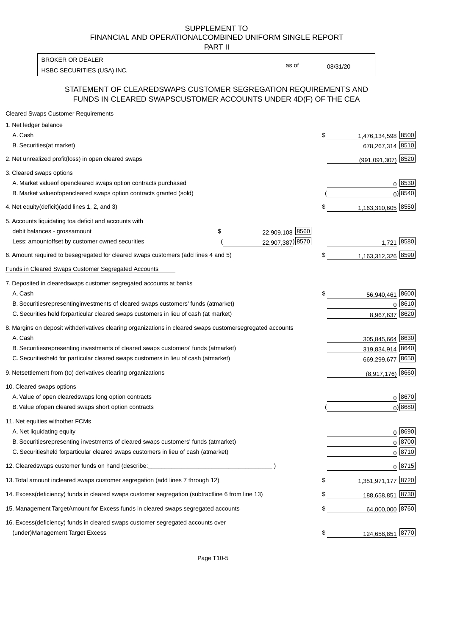PART II

HSBC SECURITIES (USA) INC. The state of the state of the state of the state of the state of the state of the state of the state of the state of the state of the state of the state of the state of the state of the state of BROKER OR DEALER

as of

#### STATEMENT OF CLEARED SWAPS CUSTOMER SEGREGATION REQUIREMENTS AND FUNDS IN CLEARED SWAPS CUSTOMER ACCOUNTS UNDER 4D(F) OF THE CEA

| <b>Cleared Swaps Customer Requirements</b>                                                                  |    |                    |
|-------------------------------------------------------------------------------------------------------------|----|--------------------|
| 1. Net ledger balance                                                                                       |    |                    |
| A. Cash                                                                                                     | \$ | 1,476,134,598 8500 |
| B. Securities (at market)                                                                                   |    | 678,267,314 8510   |
| 2. Net unrealized profit (loss) in open cleared swaps                                                       |    | (991,091,307) 8520 |
| 3. Cleared swaps options                                                                                    |    |                    |
| A. Market value of open cleared swaps option contracts purchased                                            |    | 0   8530           |
| B. Market value of open cleared swaps option contracts granted (sold)                                       |    | $0)$ 8540          |
| 4. Net equity (deficit) (add lines 1, 2, and 3)                                                             | \$ | 1,163,310,605 8550 |
| 5. Accounts liquidating to a deficit and accounts with                                                      |    |                    |
| 22,909,108 8560<br>debit balances - gross<br>\$<br>amount                                                   |    |                    |
| 22,907,387) 8570<br>Less: amount offset by customer owned securities                                        |    | 1,721 8580         |
| 6. Amount required to be segregated for cleared swaps customers (add lines 4 and 5)                         | \$ | 1,163,312,326 8590 |
| Funds in Cleared Swaps Customer Segregated Accounts                                                         |    |                    |
| 7. Deposited in cleared swaps customer segregated accounts at banks                                         |    |                    |
| A. Cash                                                                                                     | \$ | 8600<br>56,940,461 |
| B. Securities representing investments of cleared swaps customers' funds (at market)                        |    | 0 8610             |
| C. Securities held for particular cleared swaps customers in lieu of cash (at market)                       |    | 8620<br>8,967,637  |
| 8. Margins on deposit with derivatives clearing organizations in cleared swaps customer segregated accounts |    |                    |
| A. Cash                                                                                                     |    | 305,845,664 8630   |
| representing investments of cleared swaps customers' funds (at market)<br><b>B.</b> Securities              |    | 319,834,914 8640   |
| C. Securities held for particular cleared swaps customers in lieu of cash (at market)                       |    | 669,299,677 8650   |
| 9. Net settlement from (to) derivatives clearing organizations                                              |    | $(8,917,176)$ 8660 |
| 10. Cleared swaps options                                                                                   |    |                    |
| A. Value of open cleared swaps long option contracts                                                        |    | $0^{8670}$         |
| B. Value of open cleared swaps short option contracts                                                       |    | $0$ ) 8680         |
| 11. Net equities with other FCMs                                                                            |    |                    |
| A. Net liquidating equity                                                                                   |    | $0^{8690}$         |
| B. Securities representing investments of cleared swaps customers' funds (at market)                        |    | $0^{8700}$         |
| C. Securities held for particular cleared swaps customers in lieu of cash (at market)                       |    | 0 8710             |
| 12. Cleared swaps customer funds on hand (describe:                                                         |    | $0 \;  8715 $      |
| 13. Total amount in cleared swaps customer segregation (add lines 7 through 12)                             | S  | 1,351,971,177 8720 |
| 14. Excess (deficiency) funds in cleared swaps customer segregation (subtract line 6 from line 13)          |    | 188,658,851 8730   |
| 15. Management Target Amount for Excess funds in cleared swaps segregated accounts                          | \$ | 64,000,000 8760    |
| 16. Excess<br>(deficiency) funds in cleared swaps customer segregated accounts over                         |    |                    |
| <b>Management Target Excess</b><br>(under)                                                                  | \$ | 124,658,851 8770   |